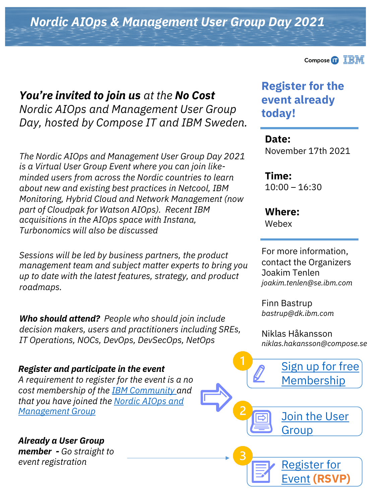*Nordic AIOps & Management User Group Day 2021*

*You're invited to join us at the No Cost Nordic AIOps and Management User Group Day, hosted by Compose IT and IBM Sweden.*

*The Nordic AIOps and Management User Group Day 2021 is a Virtual User Group Event where you can join likeminded users from across the Nordic countries to learn about new and existing best practices in Netcool, IBM Monitoring, Hybrid Cloud and Network Management (now part of Cloudpak for Watson AIOps). Recent IBM acquisitions in the AIOps space with Instana, Turbonomics will also be discussed*

*Sessions will be led by business partners, the product management team and subject matter experts to bring you up to date with the latest features, strategy, and product roadmaps.*

*Who should attend? People who should join include decision makers, users and practitioners including SREs, IT Operations, NOCs, DevOps, DevSecOps, NetOps* 

#### *Register and participate in the event*

*A requirement to register for the event is a no cost membership of the [IBM Community a](https://community.ibm.com/community/user/home)nd [that you have joined the Nordic AIOps and](http://ibm.biz/Nordic-AIOPS-Usergroup) Management Group*

*Already a User Group member - Go straight to event registration*



## **Register for the event already today!**

**Date:**  November 17th 2021

**Time:**   $10:00 - 16:30$ 

**Where:** Webex

For more information, contact the Organizers Joakim Tenlen *joakim.tenlen@se.ibm.com*

Finn Bastrup *bastrup@dk.ibm.com*

Niklas Håkansson *niklas.hakansson@compose.se*

[Sign up for free](https://community.ibm.com/community/user/home)

[Membership](https://community.ibm.com/community/user/home) [Join the User](http://ibm.biz/Nordic-AIOPS-Usergroup)  Group

[Register for](http://ibm.biz/AIOPS-UserDay-Registration)  Event **(RSVP)**